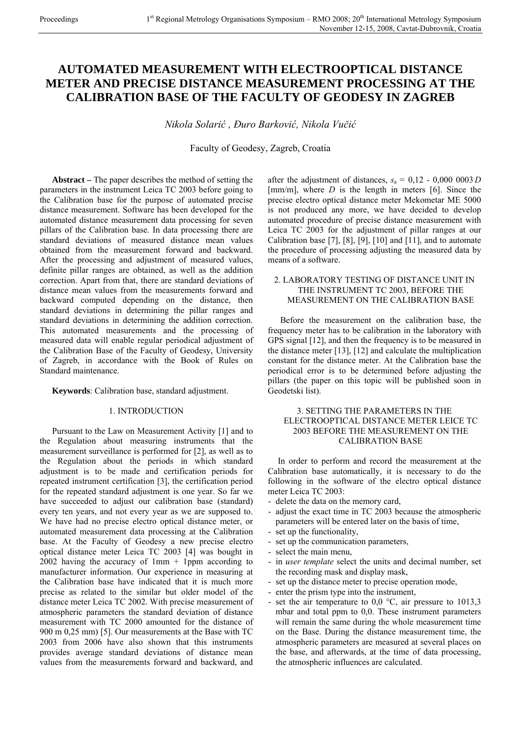# **AUTOMATED MEASUREMENT WITH ELECTROOPTICAL DISTANCE METER AND PRECISE DISTANCE MEASUREMENT PROCESSING AT THE CALIBRATION BASE OF THE FACULTY OF GEODESY IN ZAGREB**

*Nikola Solarić , Đuro Barković, Nikola Vučić*

Faculty of Geodesy, Zagreb, Croatia

**Abstract –** The paper describes the method of setting the parameters in the instrument Leica TC 2003 before going to the Calibration base for the purpose of automated precise distance measurement. Software has been developed for the automated distance measurement data processing for seven pillars of the Calibration base. In data processing there are standard deviations of measured distance mean values obtained from the measurement forward and backward. After the processing and adjustment of measured values, definite pillar ranges are obtained, as well as the addition correction. Apart from that, there are standard deviations of distance mean values from the measurements forward and backward computed depending on the distance, then standard deviations in determining the pillar ranges and standard deviations in determining the addition correction. This automated measurements and the processing of measured data will enable regular periodical adjustment of the Calibration Base of the Faculty of Geodesy, University of Zagreb, in accordance with the Book of Rules on Standard maintenance.

## **Keywords**: Calibration base, standard adjustment.

## 1. INTRODUCTION

Pursuant to the Law on Measurement Activity [1] and to the Regulation about measuring instruments that the measurement surveillance is performed for [2], as well as to the Regulation about the periods in which standard adjustment is to be made and certification periods for repeated instrument certification [3], the certification period for the repeated standard adjustment is one year. So far we have succeeded to adjust our calibration base (standard) every ten years, and not every year as we are supposed to. We have had no precise electro optical distance meter, or automated measurement data processing at the Calibration base. At the Faculty of Geodesy a new precise electro optical distance meter Leica TC 2003 [4] was bought in 2002 having the accuracy of  $1mm + 1$ ppm according to manufacturer information. Our experience in measuring at the Calibration base have indicated that it is much more precise as related to the similar but older model of the distance meter Leica TC 2002. With precise measurement of atmospheric parameters the standard deviation of distance measurement with TC 2000 amounted for the distance of 900 m 0,25 mm) [5]. Our measurements at the Base with TC 2003 from 2006 have also shown that this instruments provides average standard deviations of distance mean values from the measurements forward and backward, and

after the adjustment of distances,  $s_a = 0.12 - 0.0000003D$  $[mm/m]$ , where *D* is the length in meters [6]. Since the precise electro optical distance meter Mekometar ME 5000 is not produced any more, we have decided to develop automated procedure of precise distance measurement with Leica TC 2003 for the adjustment of pillar ranges at our Calibration base  $[7]$ ,  $[8]$ ,  $[9]$ ,  $[10]$  and  $[11]$ , and to automate the procedure of processing adjusting the measured data by means of a software.

## 2. LABORATORY TESTING OF DISTANCE UNIT IN THE INSTRUMENT TC 2003, BEFORE THE MEASUREMENT ON THE CALIBRATION BASE

Before the measurement on the calibration base, the frequency meter has to be calibration in the laboratory with GPS signal [12], and then the frequency is to be measured in the distance meter [13], [12] and calculate the multiplication constant for the distance meter. At the Calibration base the periodical error is to be determined before adjusting the pillars (the paper on this topic will be published soon in Geodetski list).

## 3. SETTING THE PARAMETERS IN THE ELECTROOPTICAL DISTANCE METER LEICE TC 2003 BEFORE THE MEASUREMENT ON THE CALIBRATION BASE

In order to perform and record the measurement at the Calibration base automatically, it is necessary to do the following in the software of the electro optical distance meter Leica TC 2003:

- delete the data on the memory card,
- adjust the exact time in TC 2003 because the atmospheric parameters will be entered later on the basis of time,
- set up the functionality,
- set up the communication parameters,
- select the main menu,
- in *user template* select the units and decimal number, set the recording mask and display mask,
- set up the distance meter to precise operation mode,
- enter the prism type into the instrument,
- set the air temperature to  $0,0$  °C, air pressure to 1013,3 mbar and total ppm to 0,0. These instrument parameters will remain the same during the whole measurement time on the Base. During the distance measurement time, the atmospheric parameters are measured at several places on the base, and afterwards, at the time of data processing, the atmospheric influences are calculated.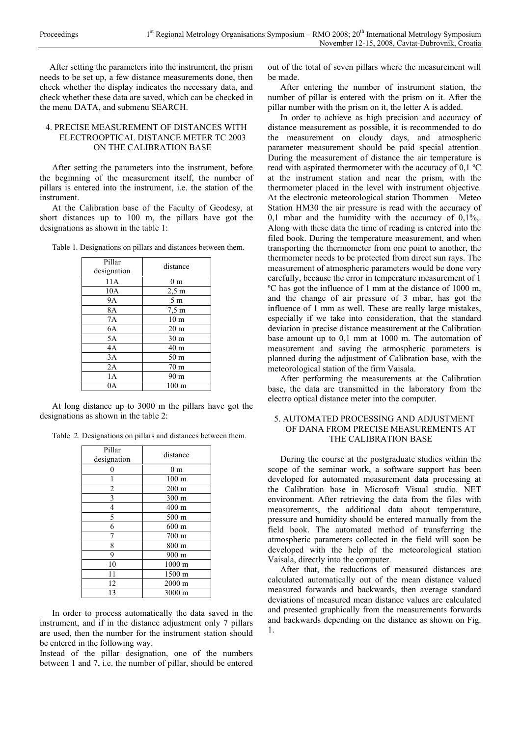After setting the parameters into the instrument, the prism needs to be set up, a few distance measurements done, then check whether the display indicates the necessary data, and check whether these data are saved, which can be checked in the menu DATA, and submenu SEARCH.

## 4. PRECISE MEASUREMENT OF DISTANCES WITH ELECTROOPTICAL DISTANCE METER TC 2003 ON THE CALIBRATION BASE

After setting the parameters into the instrument, before the beginning of the measurement itself, the number of pillars is entered into the instrument, i.e. the station of the instrument.

At the Calibration base of the Faculty of Geodesy, at short distances up to 100 m, the pillars have got the designations as shown in the table 1:

Table 1. Designations on pillars and distances between them.

| Pillar<br>designation | distance         |
|-----------------------|------------------|
| 11A                   | 0 <sub>m</sub>   |
| 10A                   | $2,5 \text{ m}$  |
| <b>9A</b>             | 5 <sub>m</sub>   |
| 8A                    | $7.5 \text{ m}$  |
| 7A                    | 10 <sub>m</sub>  |
| 6A                    | 20 <sub>m</sub>  |
| 5A                    | 30 <sub>m</sub>  |
| 4A                    | 40 <sub>m</sub>  |
| 3A                    | 50 m             |
| 2A                    | 70 <sub>m</sub>  |
| 1A                    | 90 m             |
| ЭA                    | 100 <sub>m</sub> |

At long distance up to 3000 m the pillars have got the designations as shown in the table 2:

Table 2. Designations on pillars and distances between them.

| Pillar<br>designation   | distance         |
|-------------------------|------------------|
| 0                       | 0 <sub>m</sub>   |
|                         | 100 <sub>m</sub> |
| $\overline{c}$          | $200 \text{ m}$  |
| $\overline{\mathbf{3}}$ | 300 m            |
| 4                       | 400 m            |
| 5                       | 500 m            |
| 6                       | $600 \text{ m}$  |
|                         | $700 \text{ m}$  |
| 8                       | 800 m            |
| 9                       | 900 m            |
| 10                      | 1000 m           |
| 11                      | 1500 m           |
| 12                      | 2000 m           |
| 13                      | 3000 m           |

In order to process automatically the data saved in the instrument, and if in the distance adjustment only 7 pillars are used, then the number for the instrument station should be entered in the following way.

Instead of the pillar designation, one of the numbers between 1 and 7, i.e. the number of pillar, should be entered

out of the total of seven pillars where the measurement will be made.

After entering the number of instrument station, the number of pillar is entered with the prism on it. After the pillar number with the prism on it, the letter A is added.

In order to achieve as high precision and accuracy of distance measurement as possible, it is recommended to do the measurement on cloudy days, and atmospheric parameter measurement should be paid special attention. During the measurement of distance the air temperature is read with aspirated thermometer with the accuracy of 0,1 ºC at the instrument station and near the prism, with the thermometer placed in the level with instrument objective. At the electronic meteorological station Thommen – Meteo Station HM30 the air pressure is read with the accuracy of 0,1 mbar and the humidity with the accuracy of  $0.1\%$ . Along with these data the time of reading is entered into the filed book. During the temperature measurement, and when transporting the thermometer from one point to another, the thermometer needs to be protected from direct sun rays. The measurement of atmospheric parameters would be done very carefully, because the error in temperature measurement of 1 ºC has got the influence of 1 mm at the distance of 1000 m, and the change of air pressure of 3 mbar, has got the influence of 1 mm as well. These are really large mistakes, especially if we take into consideration, that the standard deviation in precise distance measurement at the Calibration base amount up to 0,1 mm at 1000 m. The automation of measurement and saving the atmospheric parameters is planned during the adjustment of Calibration base, with the meteorological station of the firm Vaisala.

After performing the measurements at the Calibration base, the data are transmitted in the laboratory from the electro optical distance meter into the computer.

## 5. AUTOMATED PROCESSING AND ADJUSTMENT OF DANA FROM PRECISE MEASUREMENTS AT THE CALIBRATION BASE

During the course at the postgraduate studies within the scope of the seminar work, a software support has been developed for automated measurement data processing at the Calibration base in Microsoft Visual studio. NET environment. After retrieving the data from the files with measurements, the additional data about temperature, pressure and humidity should be entered manually from the field book. The automated method of transferring the atmospheric parameters collected in the field will soon be developed with the help of the meteorological station Vaisala, directly into the computer.

After that, the reductions of measured distances are calculated automatically out of the mean distance valued measured forwards and backwards, then average standard deviations of measured mean distance values are calculated and presented graphically from the measurements forwards and backwards depending on the distance as shown on Fig. 1.